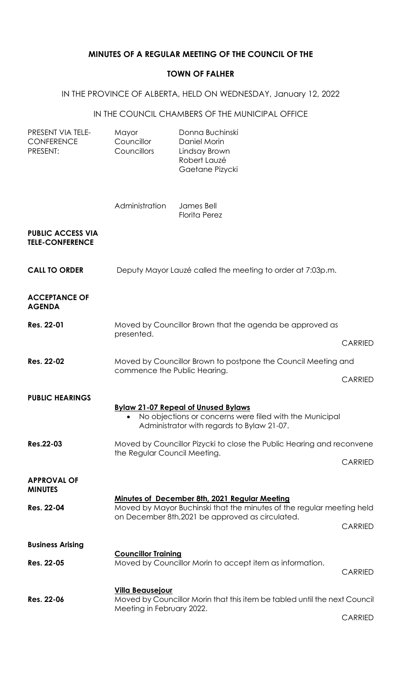## **MINUTES OF A REGULAR MEETING OF THE COUNCIL OF THE**

### **TOWN OF FALHER**

# IN THE PROVINCE OF ALBERTA, HELD ON WEDNESDAY, January 12, 2022

#### IN THE COUNCIL CHAMBERS OF THE MUNICIPAL OFFICE

| PRESENT VIA TELE-<br><b>CONFERENCE</b><br>PRESENT: | Mayor<br>Councillor<br>Councillors                                                                    | Donna Buchinski<br>Daniel Morin<br>Lindsay Brown<br>Robert Lauzé<br>Gaetane Pizycki                                                                 |                |  |
|----------------------------------------------------|-------------------------------------------------------------------------------------------------------|-----------------------------------------------------------------------------------------------------------------------------------------------------|----------------|--|
|                                                    | Administration                                                                                        | James Bell<br><b>Florita Perez</b>                                                                                                                  |                |  |
| <b>PUBLIC ACCESS VIA</b><br><b>TELE-CONFERENCE</b> |                                                                                                       |                                                                                                                                                     |                |  |
| <b>CALL TO ORDER</b>                               |                                                                                                       | Deputy Mayor Lauzé called the meeting to order at 7:03p.m.                                                                                          |                |  |
| <b>ACCEPTANCE OF</b><br><b>AGENDA</b>              |                                                                                                       |                                                                                                                                                     |                |  |
| <b>Res. 22-01</b>                                  | Moved by Councillor Brown that the agenda be approved as                                              |                                                                                                                                                     |                |  |
|                                                    | presented.                                                                                            | <b>CARRIED</b>                                                                                                                                      |                |  |
| Res. 22-02                                         | Moved by Councillor Brown to postpone the Council Meeting and<br>commence the Public Hearing.         |                                                                                                                                                     |                |  |
|                                                    |                                                                                                       | <b>CARRIED</b>                                                                                                                                      |                |  |
| <b>PUBLIC HEARINGS</b>                             |                                                                                                       | <b>Bylaw 21-07 Repeal of Unused Bylaws</b><br>No objections or concerns were filed with the Municipal<br>Administrator with regards to Bylaw 21-07. |                |  |
| <b>Res.22-03</b>                                   |                                                                                                       |                                                                                                                                                     |                |  |
|                                                    | Moved by Councillor Pizycki to close the Public Hearing and reconvene<br>the Regular Council Meeting. |                                                                                                                                                     | <b>CARRIED</b> |  |
| <b>APPROVAL OF</b><br><b>MINUTES</b>               |                                                                                                       |                                                                                                                                                     |                |  |
| Res. 22-04                                         |                                                                                                       | <b>Minutes of December 8th, 2021 Regular Meeting</b><br>Moved by Mayor Buchinski that the minutes of the regular meeting held                       |                |  |
|                                                    |                                                                                                       | on December 8th, 2021 be approved as circulated.                                                                                                    | <b>CARRIED</b> |  |
| <b>Business Arising</b>                            | <b>Councillor Training</b>                                                                            |                                                                                                                                                     |                |  |
| Res. 22-05                                         |                                                                                                       | Moved by Councillor Morin to accept item as information.                                                                                            | <b>CARRIED</b> |  |
| Res. 22-06                                         | <b>Villa Beausejour</b><br>Moved by Councillor Morin that this item be tabled until the next Council  |                                                                                                                                                     |                |  |
|                                                    | Meeting in February 2022.                                                                             |                                                                                                                                                     | <b>CARRIED</b> |  |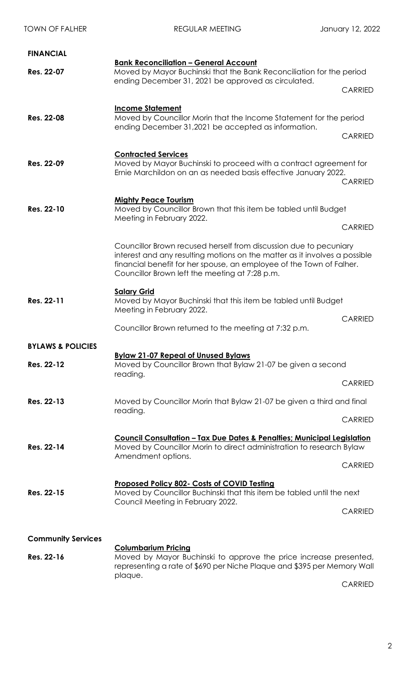| <b>TOWN OF FALHER</b>        | <b>REGULAR MEETING</b>                                                                                                                                                                                                                                                    | January 12, 2022                 |  |
|------------------------------|---------------------------------------------------------------------------------------------------------------------------------------------------------------------------------------------------------------------------------------------------------------------------|----------------------------------|--|
| <b>FINANCIAL</b>             |                                                                                                                                                                                                                                                                           |                                  |  |
| Res. 22-07                   | <b>Bank Reconciliation - General Account</b><br>Moved by Mayor Buchinski that the Bank Reconciliation for the period<br>ending December 31, 2021 be approved as circulated.                                                                                               |                                  |  |
|                              |                                                                                                                                                                                                                                                                           | <b>CARRIED</b>                   |  |
| <b>Res. 22-08</b>            | <b>Income Statement</b><br>Moved by Councillor Morin that the Income Statement for the period<br>ending December 31,2021 be accepted as information.                                                                                                                      |                                  |  |
| Res. 22-09                   | <b>Contracted Services</b><br>Moved by Mayor Buchinski to proceed with a contract agreement for<br>Ernie Marchildon on an as needed basis effective January 2022.                                                                                                         | <b>CARRIED</b><br><b>CARRIED</b> |  |
| Res. 22-10                   | <b>Mighty Peace Tourism</b><br>Moved by Councillor Brown that this item be tabled until Budget<br>Meeting in February 2022.                                                                                                                                               |                                  |  |
|                              | Councillor Brown recused herself from discussion due to pecuniary<br>interest and any resulting motions on the matter as it involves a possible<br>financial benefit for her spouse, an employee of the Town of Falher.<br>Councillor Brown left the meeting at 7:28 p.m. | <b>CARRIED</b>                   |  |
| Res. 22-11                   | <b>Salary Grid</b><br>Moved by Mayor Buchinski that this item be tabled until Budget<br>Meeting in February 2022.<br>Councillor Brown returned to the meeting at 7:32 p.m.                                                                                                | <b>CARRIED</b>                   |  |
| <b>BYLAWS &amp; POLICIES</b> |                                                                                                                                                                                                                                                                           |                                  |  |
| Res. 22-12                   | <b>Bylaw 21-07 Repeal of Unused Bylaws</b><br>Moved by Councillor Brown that Bylaw 21-07 be given a second<br>reading.                                                                                                                                                    |                                  |  |
|                              |                                                                                                                                                                                                                                                                           | <b>CARRIED</b>                   |  |
| Res. 22-13                   | Moved by Councillor Morin that Bylaw 21-07 be given a third and final<br>reading.                                                                                                                                                                                         |                                  |  |
|                              |                                                                                                                                                                                                                                                                           | <b>CARRIED</b>                   |  |
| Res. 22-14                   | <u> Council Consultation – Tax Due Dates &amp; Penalties; Municipal Legislation</u><br>Moved by Councillor Morin to direct administration to research Bylaw<br>Amendment options.                                                                                         |                                  |  |
|                              |                                                                                                                                                                                                                                                                           | <b>CARRIED</b>                   |  |
| Res. 22-15                   | Proposed Policy 802- Costs of COVID Testing<br>Moved by Councillor Buchinski that this item be tabled until the next<br>Council Meeting in February 2022.                                                                                                                 | <b>CARRIED</b>                   |  |
| <b>Community Services</b>    |                                                                                                                                                                                                                                                                           |                                  |  |
| Res. 22-16                   | <b>Columbarium Pricing</b><br>Moved by Mayor Buchinski to approve the price increase presented,<br>representing a rate of \$690 per Niche Plaque and \$395 per Memory Wall<br>plaque.                                                                                     |                                  |  |

CARRIED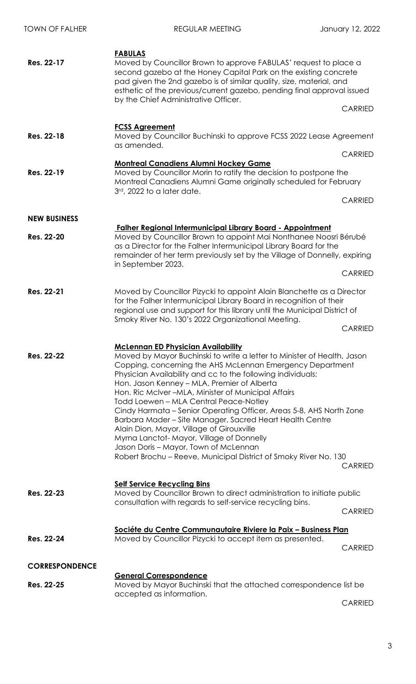| <b>TOWN OF FALHER</b> | <b>REGULAR MEETING</b>                                                                                                                                                                                                                                                                                                                                                                                                                                                                                                                                                                                                                                                                                                                                      | January 12, 2022                 |
|-----------------------|-------------------------------------------------------------------------------------------------------------------------------------------------------------------------------------------------------------------------------------------------------------------------------------------------------------------------------------------------------------------------------------------------------------------------------------------------------------------------------------------------------------------------------------------------------------------------------------------------------------------------------------------------------------------------------------------------------------------------------------------------------------|----------------------------------|
| Res. 22-17            | <b>FABULAS</b><br>Moved by Councillor Brown to approve FABULAS' request to place a<br>second gazebo at the Honey Capital Park on the existing concrete<br>pad given the 2nd gazebo is of similar quality, size, material, and<br>esthetic of the previous/current gazebo, pending final approval issued<br>by the Chief Administrative Officer.                                                                                                                                                                                                                                                                                                                                                                                                             | <b>CARRIED</b>                   |
| Res. 22-18            | <b>FCSS Agreement</b><br>Moved by Councillor Buchinski to approve FCSS 2022 Lease Agreement<br>as amended.                                                                                                                                                                                                                                                                                                                                                                                                                                                                                                                                                                                                                                                  |                                  |
| Res. 22-19            | <b>Montreal Canadiens Alumni Hockey Game</b><br>Moved by Councillor Morin to ratify the decision to postpone the<br>Montreal Canadiens Alumni Game originally scheduled for February<br>3rd, 2022 to a later date.                                                                                                                                                                                                                                                                                                                                                                                                                                                                                                                                          | <b>CARRIED</b><br><b>CARRIED</b> |
| <b>NEW BUSINESS</b>   |                                                                                                                                                                                                                                                                                                                                                                                                                                                                                                                                                                                                                                                                                                                                                             |                                  |
| Res. 22-20            | <b>Falher Regional Intermunicipal Library Board - Appointment</b><br>Moved by Councillor Brown to appoint Mai Nonthanee Noosri Bérubé<br>as a Director for the Falher Intermunicipal Library Board for the<br>remainder of her term previously set by the Village of Donnelly, expiring<br>in September 2023.                                                                                                                                                                                                                                                                                                                                                                                                                                               |                                  |
|                       |                                                                                                                                                                                                                                                                                                                                                                                                                                                                                                                                                                                                                                                                                                                                                             | <b>CARRIED</b>                   |
| Res. 22-21            | Moved by Councillor Pizycki to appoint Alain Blanchette as a Director<br>for the Falher Intermunicipal Library Board in recognition of their<br>regional use and support for this library until the Municipal District of<br>Smoky River No. 130's 2022 Organizational Meeting.                                                                                                                                                                                                                                                                                                                                                                                                                                                                             | <b>CARRIED</b>                   |
| Res. 22-22            | <b>McLennan ED Physician Availability</b><br>Moved by Mayor Buchinski to write a letter to Minister of Health, Jason<br>Copping, concerning the AHS McLennan Emergency Department<br>Physician Availability and cc to the following individuals:<br>Hon. Jason Kenney – MLA, Premier of Alberta<br>Hon. Ric McIver -MLA, Minister of Municipal Affairs<br>Todd Loewen - MLA Central Peace-Notley<br>Cindy Harmata – Senior Operating Officer, Areas 5-8, AHS North Zone<br>Barbara Mader – Site Manager, Sacred Heart Health Centre<br>Alain Dion, Mayor, Village of Girouxville<br>Myrna Lanctot-Mayor, Village of Donnelly<br>Jason Doris - Mayor, Town of McLennan<br>Robert Brochu - Reeve, Municipal District of Smoky River No. 130<br><b>CARRIED</b> |                                  |
| Res. 22-23            | <b>Self Service Recycling Bins</b><br>Moved by Councillor Brown to direct administration to initiate public<br>consultation with regards to self-service recycling bins.                                                                                                                                                                                                                                                                                                                                                                                                                                                                                                                                                                                    | <b>CARRIED</b>                   |
| Res. 22-24            | Sociéte du Centre Communautaire Riviere la Paix - Business Plan<br>Moved by Councillor Pizycki to accept item as presented.                                                                                                                                                                                                                                                                                                                                                                                                                                                                                                                                                                                                                                 | <b>CARRIED</b>                   |
| <b>CORRESPONDENCE</b> |                                                                                                                                                                                                                                                                                                                                                                                                                                                                                                                                                                                                                                                                                                                                                             |                                  |
| Res. 22-25            | <b>General Correspondence</b><br>Moved by Mayor Buchinski that the attached correspondence list be<br>accepted as information.                                                                                                                                                                                                                                                                                                                                                                                                                                                                                                                                                                                                                              |                                  |

CARRIED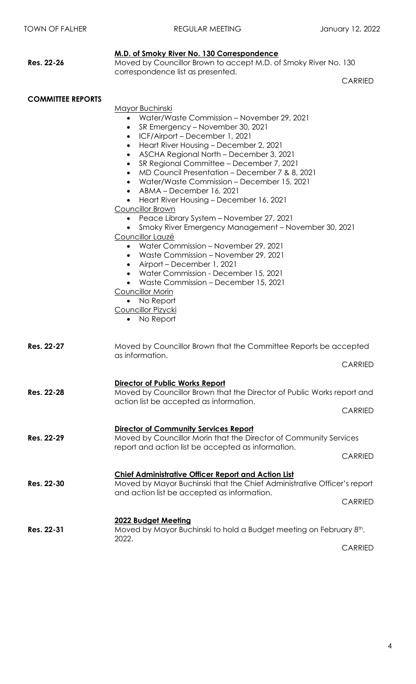|                          | M.D. of Smoky River No. 130 Correspondence                                                                                                                                                                                                                                                                                                                                                                                                                                                                                                                                                                                                                                                                                                                                                                                                                                                                                                                                                          |                |  |  |
|--------------------------|-----------------------------------------------------------------------------------------------------------------------------------------------------------------------------------------------------------------------------------------------------------------------------------------------------------------------------------------------------------------------------------------------------------------------------------------------------------------------------------------------------------------------------------------------------------------------------------------------------------------------------------------------------------------------------------------------------------------------------------------------------------------------------------------------------------------------------------------------------------------------------------------------------------------------------------------------------------------------------------------------------|----------------|--|--|
| Res. 22-26               | Moved by Councillor Brown to accept M.D. of Smoky River No. 130                                                                                                                                                                                                                                                                                                                                                                                                                                                                                                                                                                                                                                                                                                                                                                                                                                                                                                                                     |                |  |  |
|                          | correspondence list as presented.                                                                                                                                                                                                                                                                                                                                                                                                                                                                                                                                                                                                                                                                                                                                                                                                                                                                                                                                                                   | <b>CARRIED</b> |  |  |
|                          |                                                                                                                                                                                                                                                                                                                                                                                                                                                                                                                                                                                                                                                                                                                                                                                                                                                                                                                                                                                                     |                |  |  |
| <b>COMMITTEE REPORTS</b> | <b>Mayor Buchinski</b><br>Water/Waste Commission - November 29, 2021<br>SR Emergency – November 30, 2021<br>٠<br>ICF/Airport - December 1, 2021<br>$\bullet$<br>Heart River Housing - December 2, 2021<br>$\bullet$<br>ASCHA Regional North - December 3, 2021<br>$\bullet$<br>SR Regional Committee - December 7, 2021<br>$\bullet$<br>MD Council Presentation – December 7 & 8, 2021<br>$\bullet$<br>Water/Waste Commission - December 15, 2021<br>ABMA - December 16, 2021<br>Heart River Housing - December 16, 2021<br>$\bullet$<br>Councillor Brown<br>Peace Library System – November 27, 2021<br>$\bullet$<br>Smoky River Emergency Management - November 30, 2021<br>Councillor Lauzé<br>Water Commission - November 29, 2021<br>Waste Commission – November 29, 2021<br>$\bullet$<br>Airport – December 1, 2021<br>Water Commission - December 15, 2021<br>$\bullet$<br>Waste Commission - December 15, 2021<br>Councillor Morin<br>No Report<br><b>Councillor Pizycki</b><br>• No Report |                |  |  |
| Res. 22-27               | Moved by Councillor Brown that the Committee Reports be accepted<br>as information.<br><b>CARRIED</b>                                                                                                                                                                                                                                                                                                                                                                                                                                                                                                                                                                                                                                                                                                                                                                                                                                                                                               |                |  |  |
| Res. 22-28               | Director of Public Works Report<br>Moved by Councillor Brown that the Director of Public Works report and<br>action list be accepted as information.                                                                                                                                                                                                                                                                                                                                                                                                                                                                                                                                                                                                                                                                                                                                                                                                                                                | <b>CARRIED</b> |  |  |
| Res. 22-29               | Director of Community Services Report<br>Moved by Councillor Morin that the Director of Community Services<br>report and action list be accepted as information.                                                                                                                                                                                                                                                                                                                                                                                                                                                                                                                                                                                                                                                                                                                                                                                                                                    | <b>CARRIED</b> |  |  |
| Res. 22-30               | <b>Chief Administrative Officer Report and Action List</b><br>Moved by Mayor Buchinski that the Chief Administrative Officer's report<br>and action list be accepted as information.                                                                                                                                                                                                                                                                                                                                                                                                                                                                                                                                                                                                                                                                                                                                                                                                                | <b>CARRIED</b> |  |  |
| Res. 22-31               | 2022 Budget Meeting<br>Moved by Mayor Buchinski to hold a Budget meeting on February 8th,<br>2022.                                                                                                                                                                                                                                                                                                                                                                                                                                                                                                                                                                                                                                                                                                                                                                                                                                                                                                  |                |  |  |

CARRIED